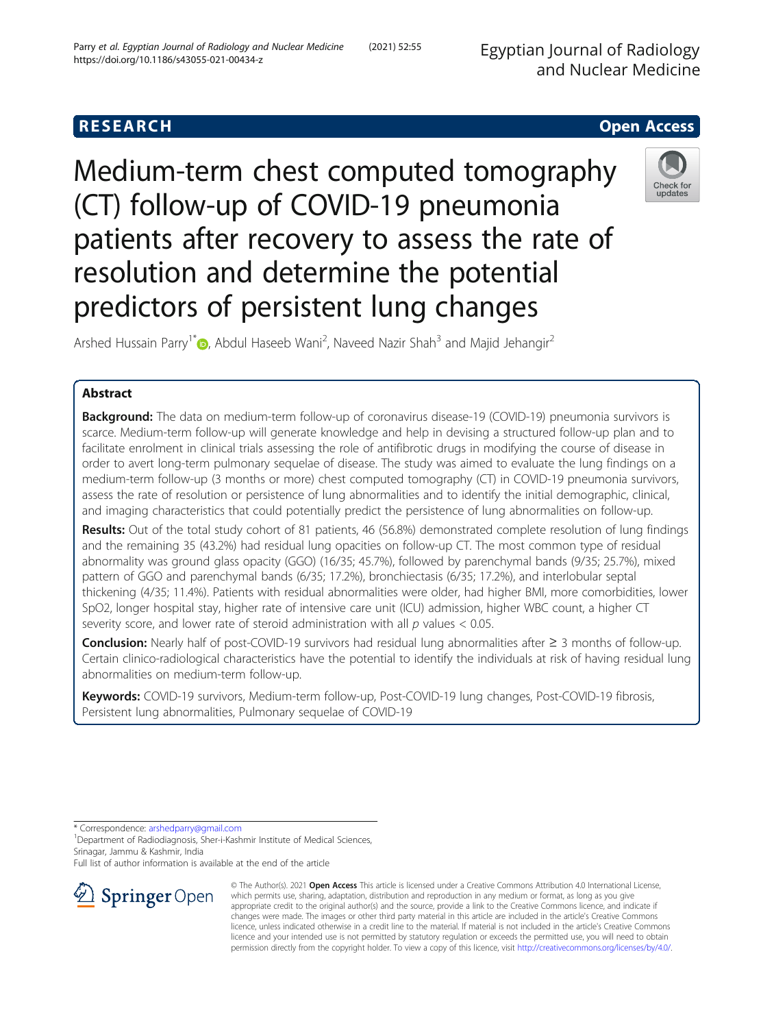Egyptian Journal of Radiology and Nuclear Medicine

# **RESEARCH CHE Open Access**

Medium-term chest computed tomography (CT) follow-up of COVID-19 pneumonia patients after recovery to assess the rate of resolution and determine the potential predictors of persistent lung changes



Arshed Hussain Parry<sup>1[\\*](http://orcid.org/0000-0001-5079-3430)</sup> D, Abdul Haseeb Wani<sup>2</sup>, Naveed Nazir Shah<sup>3</sup> and Majid Jehangir<sup>2</sup>

# Abstract

Background: The data on medium-term follow-up of coronavirus disease-19 (COVID-19) pneumonia survivors is scarce. Medium-term follow-up will generate knowledge and help in devising a structured follow-up plan and to facilitate enrolment in clinical trials assessing the role of antifibrotic drugs in modifying the course of disease in order to avert long-term pulmonary sequelae of disease. The study was aimed to evaluate the lung findings on a medium-term follow-up (3 months or more) chest computed tomography (CT) in COVID-19 pneumonia survivors, assess the rate of resolution or persistence of lung abnormalities and to identify the initial demographic, clinical, and imaging characteristics that could potentially predict the persistence of lung abnormalities on follow-up.

Results: Out of the total study cohort of 81 patients, 46 (56.8%) demonstrated complete resolution of lung findings and the remaining 35 (43.2%) had residual lung opacities on follow-up CT. The most common type of residual abnormality was ground glass opacity (GGO) (16/35; 45.7%), followed by parenchymal bands (9/35; 25.7%), mixed pattern of GGO and parenchymal bands (6/35; 17.2%), bronchiectasis (6/35; 17.2%), and interlobular septal thickening (4/35; 11.4%). Patients with residual abnormalities were older, had higher BMI, more comorbidities, lower SpO2, longer hospital stay, higher rate of intensive care unit (ICU) admission, higher WBC count, a higher CT severity score, and lower rate of steroid administration with all  $p$  values  $< 0.05$ .

Conclusion: Nearly half of post-COVID-19 survivors had residual lung abnormalities after ≥ 3 months of follow-up. Certain clinico-radiological characteristics have the potential to identify the individuals at risk of having residual lung abnormalities on medium-term follow-up.

Keywords: COVID-19 survivors, Medium-term follow-up, Post-COVID-19 lung changes, Post-COVID-19 fibrosis, Persistent lung abnormalities, Pulmonary sequelae of COVID-19

\* Correspondence: [arshedparry@gmail.com](mailto:arshedparry@gmail.com) <sup>1</sup>

<sup>1</sup> Department of Radiodiagnosis, Sher-i-Kashmir Institute of Medical Sciences, Srinagar, Jammu & Kashmir, India

Full list of author information is available at the end of the article



© The Author(s). 2021 Open Access This article is licensed under a Creative Commons Attribution 4.0 International License, which permits use, sharing, adaptation, distribution and reproduction in any medium or format, as long as you give appropriate credit to the original author(s) and the source, provide a link to the Creative Commons licence, and indicate if changes were made. The images or other third party material in this article are included in the article's Creative Commons licence, unless indicated otherwise in a credit line to the material. If material is not included in the article's Creative Commons licence and your intended use is not permitted by statutory regulation or exceeds the permitted use, you will need to obtain permission directly from the copyright holder. To view a copy of this licence, visit <http://creativecommons.org/licenses/by/4.0/>.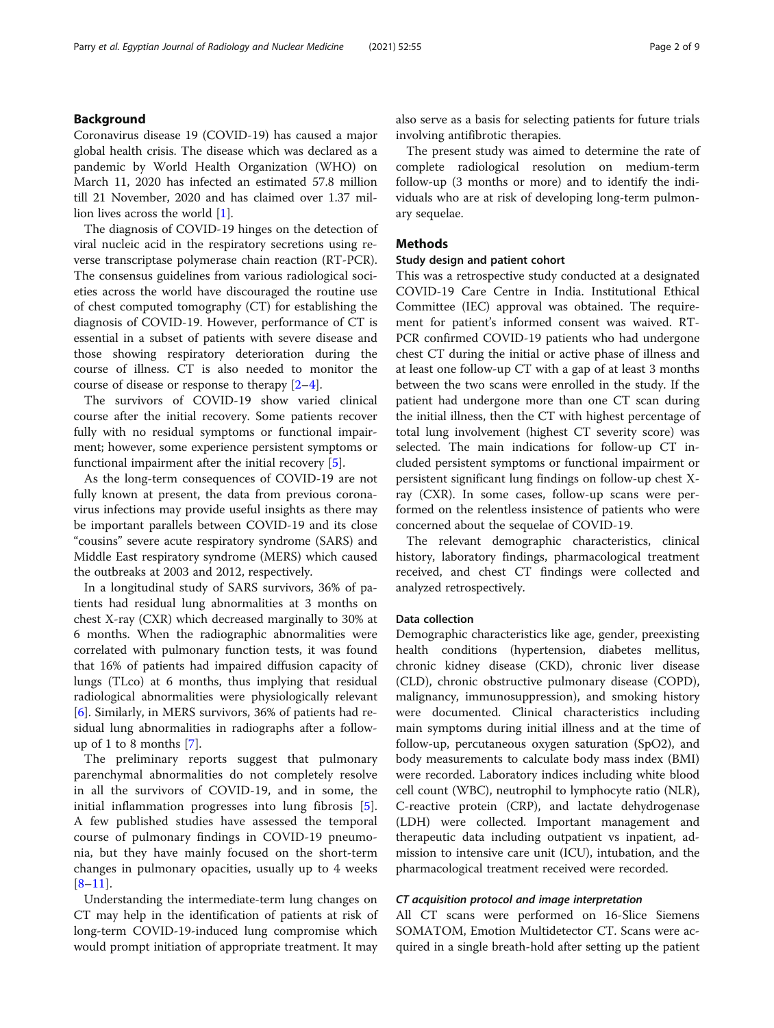Coronavirus disease 19 (COVID-19) has caused a major global health crisis. The disease which was declared as a pandemic by World Health Organization (WHO) on March 11, 2020 has infected an estimated 57.8 million till 21 November, 2020 and has claimed over 1.37 million lives across the world [\[1](#page-7-0)].

The diagnosis of COVID-19 hinges on the detection of viral nucleic acid in the respiratory secretions using reverse transcriptase polymerase chain reaction (RT-PCR). The consensus guidelines from various radiological societies across the world have discouraged the routine use of chest computed tomography (CT) for establishing the diagnosis of COVID-19. However, performance of CT is essential in a subset of patients with severe disease and those showing respiratory deterioration during the course of illness. CT is also needed to monitor the course of disease or response to therapy [\[2](#page-7-0)–[4\]](#page-7-0).

The survivors of COVID-19 show varied clinical course after the initial recovery. Some patients recover fully with no residual symptoms or functional impairment; however, some experience persistent symptoms or functional impairment after the initial recovery [[5\]](#page-7-0).

As the long-term consequences of COVID-19 are not fully known at present, the data from previous coronavirus infections may provide useful insights as there may be important parallels between COVID-19 and its close "cousins" severe acute respiratory syndrome (SARS) and Middle East respiratory syndrome (MERS) which caused the outbreaks at 2003 and 2012, respectively.

In a longitudinal study of SARS survivors, 36% of patients had residual lung abnormalities at 3 months on chest X-ray (CXR) which decreased marginally to 30% at 6 months. When the radiographic abnormalities were correlated with pulmonary function tests, it was found that 16% of patients had impaired diffusion capacity of lungs (TLco) at 6 months, thus implying that residual radiological abnormalities were physiologically relevant [[6\]](#page-7-0). Similarly, in MERS survivors, 36% of patients had residual lung abnormalities in radiographs after a followup of 1 to 8 months [\[7](#page-7-0)].

The preliminary reports suggest that pulmonary parenchymal abnormalities do not completely resolve in all the survivors of COVID-19, and in some, the initial inflammation progresses into lung fibrosis [\[5](#page-7-0)]. A few published studies have assessed the temporal course of pulmonary findings in COVID-19 pneumonia, but they have mainly focused on the short-term changes in pulmonary opacities, usually up to 4 weeks  $[8-11]$  $[8-11]$  $[8-11]$  $[8-11]$ .

Understanding the intermediate-term lung changes on CT may help in the identification of patients at risk of long-term COVID-19-induced lung compromise which would prompt initiation of appropriate treatment. It may also serve as a basis for selecting patients for future trials involving antifibrotic therapies.

The present study was aimed to determine the rate of complete radiological resolution on medium-term follow-up (3 months or more) and to identify the individuals who are at risk of developing long-term pulmonary sequelae.

# Methods

# Study design and patient cohort

This was a retrospective study conducted at a designated COVID-19 Care Centre in India. Institutional Ethical Committee (IEC) approval was obtained. The requirement for patient's informed consent was waived. RT-PCR confirmed COVID-19 patients who had undergone chest CT during the initial or active phase of illness and at least one follow-up CT with a gap of at least 3 months between the two scans were enrolled in the study. If the patient had undergone more than one CT scan during the initial illness, then the CT with highest percentage of total lung involvement (highest CT severity score) was selected. The main indications for follow-up CT included persistent symptoms or functional impairment or persistent significant lung findings on follow-up chest Xray (CXR). In some cases, follow-up scans were performed on the relentless insistence of patients who were concerned about the sequelae of COVID-19.

The relevant demographic characteristics, clinical history, laboratory findings, pharmacological treatment received, and chest CT findings were collected and analyzed retrospectively.

# Data collection

Demographic characteristics like age, gender, preexisting health conditions (hypertension, diabetes mellitus, chronic kidney disease (CKD), chronic liver disease (CLD), chronic obstructive pulmonary disease (COPD), malignancy, immunosuppression), and smoking history were documented. Clinical characteristics including main symptoms during initial illness and at the time of follow-up, percutaneous oxygen saturation (SpO2), and body measurements to calculate body mass index (BMI) were recorded. Laboratory indices including white blood cell count (WBC), neutrophil to lymphocyte ratio (NLR), C-reactive protein (CRP), and lactate dehydrogenase (LDH) were collected. Important management and therapeutic data including outpatient vs inpatient, admission to intensive care unit (ICU), intubation, and the pharmacological treatment received were recorded.

# CT acquisition protocol and image interpretation

All CT scans were performed on 16-Slice Siemens SOMATOM, Emotion Multidetector CT. Scans were acquired in a single breath-hold after setting up the patient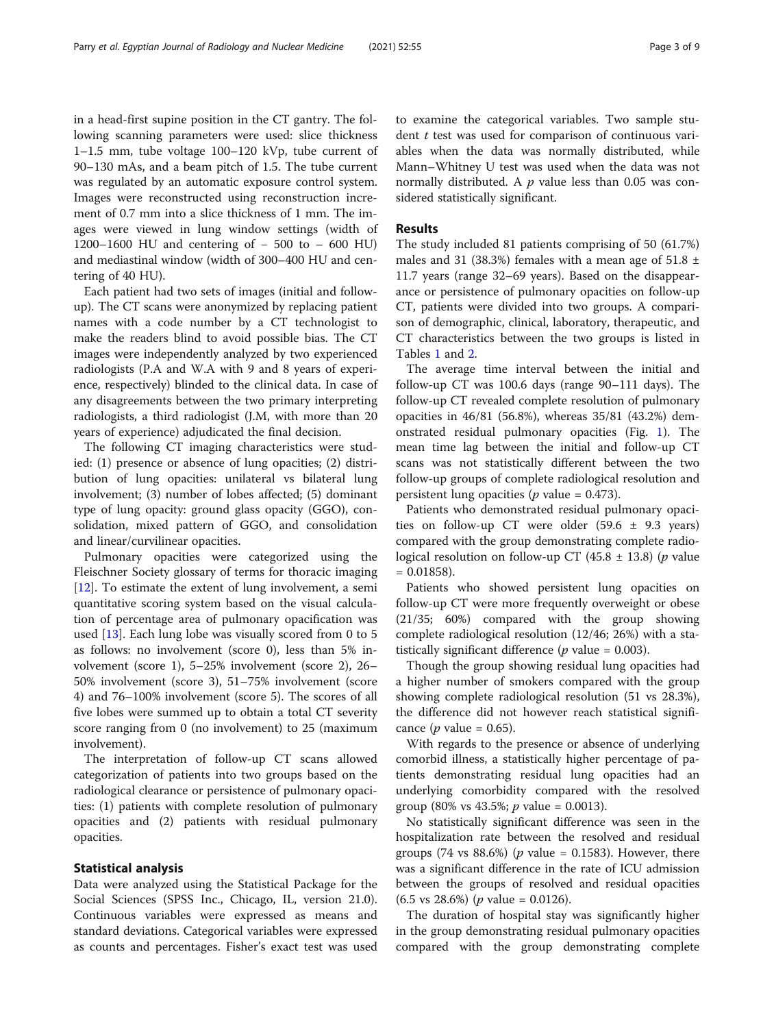in a head-first supine position in the CT gantry. The following scanning parameters were used: slice thickness 1–1.5 mm, tube voltage 100–120 kVp, tube current of 90–130 mAs, and a beam pitch of 1.5. The tube current was regulated by an automatic exposure control system. Images were reconstructed using reconstruction increment of 0.7 mm into a slice thickness of 1 mm. The images were viewed in lung window settings (width of 1200–1600 HU and centering of − 500 to – 600 HU) and mediastinal window (width of 300–400 HU and centering of 40 HU).

Each patient had two sets of images (initial and followup). The CT scans were anonymized by replacing patient names with a code number by a CT technologist to make the readers blind to avoid possible bias. The CT images were independently analyzed by two experienced radiologists (P.A and W.A with 9 and 8 years of experience, respectively) blinded to the clinical data. In case of any disagreements between the two primary interpreting radiologists, a third radiologist (J.M, with more than 20 years of experience) adjudicated the final decision.

The following CT imaging characteristics were studied: (1) presence or absence of lung opacities; (2) distribution of lung opacities: unilateral vs bilateral lung involvement; (3) number of lobes affected; (5) dominant type of lung opacity: ground glass opacity (GGO), consolidation, mixed pattern of GGO, and consolidation and linear/curvilinear opacities.

Pulmonary opacities were categorized using the Fleischner Society glossary of terms for thoracic imaging [[12\]](#page-7-0). To estimate the extent of lung involvement, a semi quantitative scoring system based on the visual calculation of percentage area of pulmonary opacification was used [[13](#page-7-0)]. Each lung lobe was visually scored from 0 to 5 as follows: no involvement (score 0), less than 5% involvement (score 1), 5–25% involvement (score 2), 26– 50% involvement (score 3), 51–75% involvement (score 4) and 76–100% involvement (score 5). The scores of all five lobes were summed up to obtain a total CT severity score ranging from 0 (no involvement) to 25 (maximum involvement).

The interpretation of follow-up CT scans allowed categorization of patients into two groups based on the radiological clearance or persistence of pulmonary opacities: (1) patients with complete resolution of pulmonary opacities and (2) patients with residual pulmonary opacities.

# Statistical analysis

Data were analyzed using the Statistical Package for the Social Sciences (SPSS Inc., Chicago, IL, version 21.0). Continuous variables were expressed as means and standard deviations. Categorical variables were expressed as counts and percentages. Fisher's exact test was used to examine the categorical variables. Two sample student *t* test was used for comparison of continuous variables when the data was normally distributed, while Mann–Whitney U test was used when the data was not normally distributed. A  $p$  value less than 0.05 was considered statistically significant.

# Results

The study included 81 patients comprising of 50 (61.7%) males and 31 (38.3%) females with a mean age of  $51.8 \pm$ 11.7 years (range 32–69 years). Based on the disappearance or persistence of pulmonary opacities on follow-up CT, patients were divided into two groups. A comparison of demographic, clinical, laboratory, therapeutic, and CT characteristics between the two groups is listed in Tables [1](#page-3-0) and [2](#page-4-0).

The average time interval between the initial and follow-up CT was 100.6 days (range 90–111 days). The follow-up CT revealed complete resolution of pulmonary opacities in 46/81 (56.8%), whereas 35/81 (43.2%) demonstrated residual pulmonary opacities (Fig. [1](#page-4-0)). The mean time lag between the initial and follow-up CT scans was not statistically different between the two follow-up groups of complete radiological resolution and persistent lung opacities ( $p$  value = 0.473).

Patients who demonstrated residual pulmonary opacities on follow-up CT were older  $(59.6 \pm 9.3 \text{ years})$ compared with the group demonstrating complete radiological resolution on follow-up CT (45.8  $\pm$  13.8) (*p* value  $= 0.01858$ ).

Patients who showed persistent lung opacities on follow-up CT were more frequently overweight or obese (21/35; 60%) compared with the group showing complete radiological resolution (12/46; 26%) with a statistically significant difference ( $p$  value = 0.003).

Though the group showing residual lung opacities had a higher number of smokers compared with the group showing complete radiological resolution (51 vs 28.3%), the difference did not however reach statistical significance (*p* value = 0.65).

With regards to the presence or absence of underlying comorbid illness, a statistically higher percentage of patients demonstrating residual lung opacities had an underlying comorbidity compared with the resolved group (80% vs 43.5%;  $p$  value = 0.0013).

No statistically significant difference was seen in the hospitalization rate between the resolved and residual groups (74 vs 88.6%) ( $p$  value = 0.1583). However, there was a significant difference in the rate of ICU admission between the groups of resolved and residual opacities  $(6.5 \text{ vs } 28.6\%)$  (*p* value = 0.0126).

The duration of hospital stay was significantly higher in the group demonstrating residual pulmonary opacities compared with the group demonstrating complete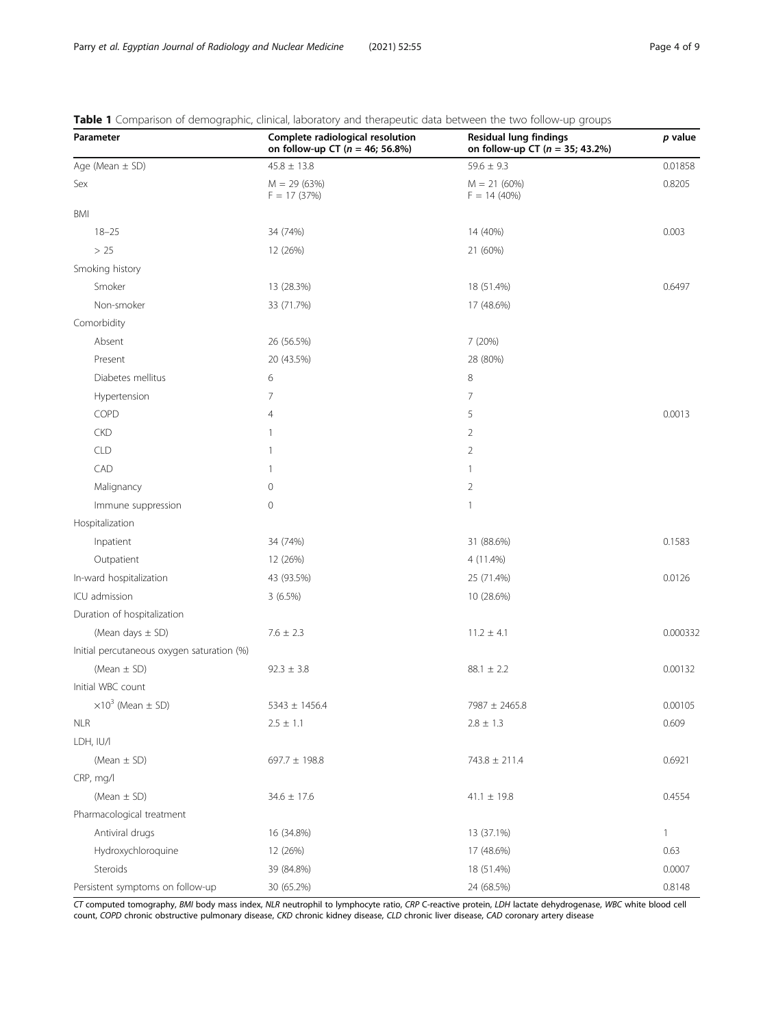| Parameter                                  | Complete radiological resolution<br>on follow-up CT ( $n = 46$ ; 56.8%) | $\sim$<br><b>Residual lung findings</b><br>on follow-up CT ( $n = 35$ ; 43.2%) | p value      |
|--------------------------------------------|-------------------------------------------------------------------------|--------------------------------------------------------------------------------|--------------|
| Age (Mean $\pm$ SD)                        | $45.8 \pm 13.8$                                                         | $59.6 \pm 9.3$                                                                 | 0.01858      |
| Sex                                        | $M = 29(63%)$<br>$F = 17(37%)$                                          | $M = 21(60%)$<br>$F = 14(40%)$                                                 | 0.8205       |
| <b>BMI</b>                                 |                                                                         |                                                                                |              |
| $18 - 25$                                  | 34 (74%)                                                                | 14 (40%)                                                                       | 0.003        |
| $>25$                                      | 12 (26%)                                                                | 21 (60%)                                                                       |              |
| Smoking history                            |                                                                         |                                                                                |              |
| Smoker                                     | 13 (28.3%)                                                              | 18 (51.4%)                                                                     | 0.6497       |
| Non-smoker                                 | 33 (71.7%)                                                              | 17 (48.6%)                                                                     |              |
| Comorbidity                                |                                                                         |                                                                                |              |
| Absent                                     | 26 (56.5%)                                                              | 7 (20%)                                                                        |              |
| Present                                    | 20 (43.5%)                                                              | 28 (80%)                                                                       |              |
| Diabetes mellitus                          | 6                                                                       | 8                                                                              |              |
| Hypertension                               | $\overline{7}$                                                          | $\overline{7}$                                                                 |              |
| COPD                                       | $\overline{4}$                                                          | 5                                                                              | 0.0013       |
| <b>CKD</b>                                 | 1                                                                       | $\overline{2}$                                                                 |              |
| <b>CLD</b>                                 | $\mathbf{1}$                                                            | $\overline{2}$                                                                 |              |
| CAD                                        | 1                                                                       | $\mathbf{1}$                                                                   |              |
| Malignancy                                 | $\mathbf 0$                                                             | $\overline{2}$                                                                 |              |
| Immune suppression                         | $\mathbf 0$                                                             | $\mathbf{1}$                                                                   |              |
| Hospitalization                            |                                                                         |                                                                                |              |
| Inpatient                                  | 34 (74%)                                                                | 31 (88.6%)                                                                     | 0.1583       |
| Outpatient                                 | 12 (26%)                                                                | 4 (11.4%)                                                                      |              |
| In-ward hospitalization                    | 43 (93.5%)                                                              | 25 (71.4%)                                                                     | 0.0126       |
| ICU admission                              | 3(6.5%)                                                                 | 10 (28.6%)                                                                     |              |
| Duration of hospitalization                |                                                                         |                                                                                |              |
| (Mean days $\pm$ SD)                       | $7.6 \pm 2.3$                                                           | $11.2 \pm 4.1$                                                                 | 0.000332     |
| Initial percutaneous oxygen saturation (%) |                                                                         |                                                                                |              |
| (Mean $\pm$ SD)                            | $92.3 \pm 3.8$                                                          | $88.1 \pm 2.2$                                                                 | 0.00132      |
| Initial WBC count                          |                                                                         |                                                                                |              |
| $\times 10^3$ (Mean $\pm$ SD)              | $5343 \pm 1456.4$                                                       | 7987 ± 2465.8                                                                  | 0.00105      |
| <b>NLR</b>                                 | $2.5 \pm 1.1$                                                           | $2.8 \pm 1.3$                                                                  | 0.609        |
| LDH, IU/I                                  |                                                                         |                                                                                |              |
| (Mean $\pm$ SD)                            | 697.7 $\pm$ 198.8                                                       | $743.8 \pm 211.4$                                                              | 0.6921       |
| CRP, mg/l                                  |                                                                         |                                                                                |              |
| (Mean $\pm$ SD)                            | $34.6 \pm 17.6$                                                         | $41.1 \pm 19.8$                                                                | 0.4554       |
| Pharmacological treatment                  |                                                                         |                                                                                |              |
| Antiviral drugs                            | 16 (34.8%)                                                              | 13 (37.1%)                                                                     | $\mathbf{1}$ |
| Hydroxychloroquine                         | 12 (26%)                                                                | 17 (48.6%)                                                                     | 0.63         |
| Steroids                                   | 39 (84.8%)                                                              | 18 (51.4%)                                                                     | 0.0007       |
| Persistent symptoms on follow-up           | 30 (65.2%)                                                              | 24 (68.5%)                                                                     | 0.8148       |

<span id="page-3-0"></span>Table 1 Comparison of demographic, clinical, laboratory and therapeutic data between the two follow-up groups

CT computed tomography, BMI body mass index, NLR neutrophil to lymphocyte ratio, CRP C-reactive protein, LDH lactate dehydrogenase, WBC white blood cell count, COPD chronic obstructive pulmonary disease, CKD chronic kidney disease, CLD chronic liver disease, CAD coronary artery disease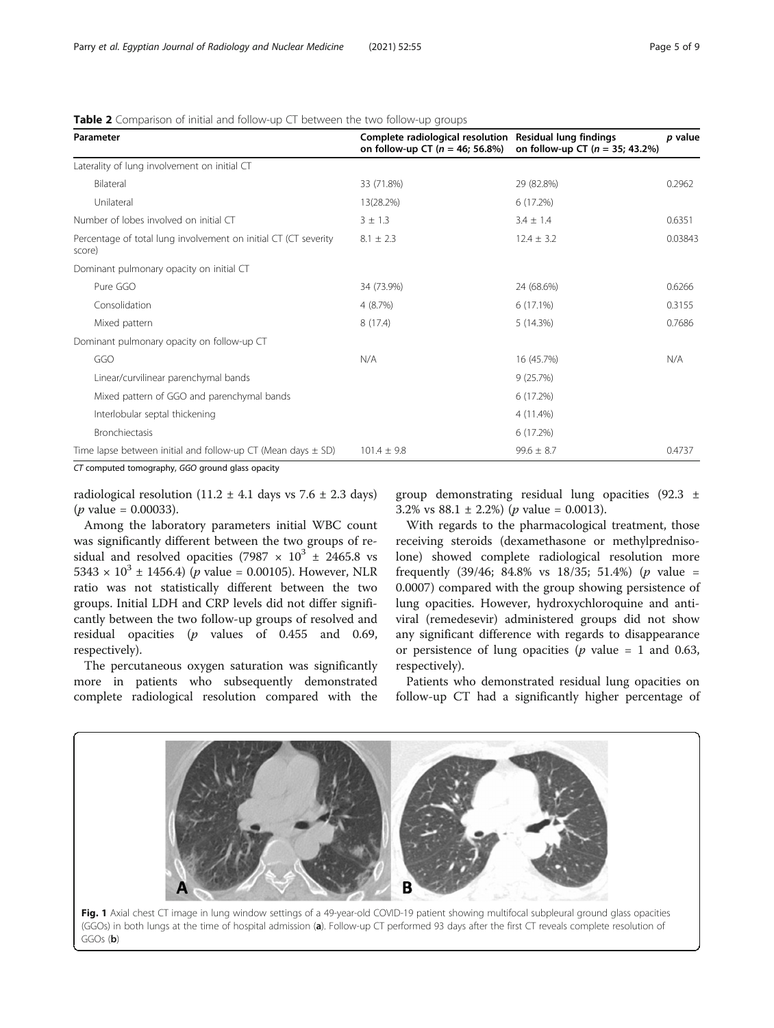| Parameter                                                                 | Complete radiological resolution Residual lung findings<br>on follow-up CT ( $n = 46$ ; 56.8%) | on follow-up CT ( $n = 35$ ; 43.2%) | p value |
|---------------------------------------------------------------------------|------------------------------------------------------------------------------------------------|-------------------------------------|---------|
| Laterality of lung involvement on initial CT                              |                                                                                                |                                     |         |
| Bilateral                                                                 | 33 (71.8%)                                                                                     | 29 (82.8%)                          | 0.2962  |
| Unilateral                                                                | 13(28.2%)                                                                                      | 6 (17.2%)                           |         |
| Number of lobes involved on initial CT                                    | $3 \pm 1.3$                                                                                    | $3.4 \pm 1.4$                       | 0.6351  |
| Percentage of total lung involvement on initial CT (CT severity<br>score) | $8.1 \pm 2.3$                                                                                  | $12.4 \pm 3.2$                      | 0.03843 |
| Dominant pulmonary opacity on initial CT                                  |                                                                                                |                                     |         |
| Pure GGO                                                                  | 34 (73.9%)                                                                                     | 24 (68.6%)                          | 0.6266  |
| Consolidation                                                             | 4(8.7%)                                                                                        | $6(17.1\%)$                         | 0.3155  |
| Mixed pattern                                                             | 8(17.4)                                                                                        | 5(14.3%)                            | 0.7686  |
| Dominant pulmonary opacity on follow-up CT                                |                                                                                                |                                     |         |
| GGO                                                                       | N/A                                                                                            | 16 (45.7%)                          | N/A     |
| Linear/curvilinear parenchymal bands                                      |                                                                                                | 9(25.7%)                            |         |
| Mixed pattern of GGO and parenchymal bands                                |                                                                                                | 6 (17.2%)                           |         |
| Interlobular septal thickening                                            |                                                                                                | 4 (11.4%)                           |         |
| <b>Bronchiectasis</b>                                                     |                                                                                                | 6 (17.2%)                           |         |
| Time lapse between initial and follow-up CT (Mean days $\pm$ SD)          | $101.4 \pm 9.8$                                                                                | $99.6 \pm 8.7$                      | 0.4737  |

<span id="page-4-0"></span>Table 2 Comparison of initial and follow-up CT between the two follow-up groups

CT computed tomography, GGO ground glass opacity

radiological resolution (11.2  $\pm$  4.1 days vs 7.6  $\pm$  2.3 days)  $(p \text{ value} = 0.00033).$ 

Among the laboratory parameters initial WBC count was significantly different between the two groups of residual and resolved opacities (7987  $\times$  10<sup>3</sup>  $\pm$  2465.8 vs  $5343 \times 10^3 \pm 1456.4$  (*p* value = 0.00105). However, NLR ratio was not statistically different between the two groups. Initial LDH and CRP levels did not differ significantly between the two follow-up groups of resolved and residual opacities  $(p \text{ values of } 0.455 \text{ and } 0.69)$ , respectively).

The percutaneous oxygen saturation was significantly more in patients who subsequently demonstrated complete radiological resolution compared with the

group demonstrating residual lung opacities  $(92.3 \pm 1)$ 3.2% vs  $88.1 \pm 2.2$ % (*p* value = 0.0013).

With regards to the pharmacological treatment, those receiving steroids (dexamethasone or methylprednisolone) showed complete radiological resolution more frequently  $(39/46; 84.8\% \text{ vs } 18/35; 51.4\%)$  (*p* value = 0.0007) compared with the group showing persistence of lung opacities. However, hydroxychloroquine and antiviral (remedesevir) administered groups did not show any significant difference with regards to disappearance or persistence of lung opacities ( $p$  value = 1 and 0.63, respectively).

Patients who demonstrated residual lung opacities on follow-up CT had a significantly higher percentage of

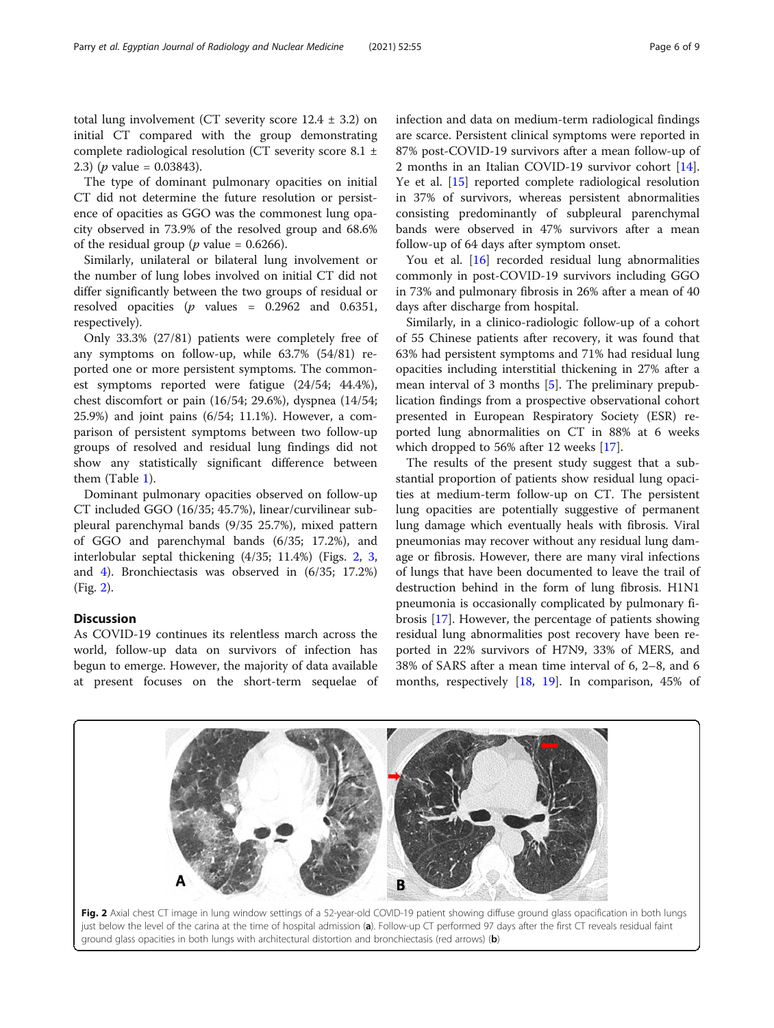total lung involvement (CT severity score  $12.4 \pm 3.2$ ) on initial CT compared with the group demonstrating complete radiological resolution (CT severity score 8.1 ± 2.3) (*p* value = 0.03843).

The type of dominant pulmonary opacities on initial CT did not determine the future resolution or persistence of opacities as GGO was the commonest lung opacity observed in 73.9% of the resolved group and 68.6% of the residual group ( $p$  value = 0.6266).

Similarly, unilateral or bilateral lung involvement or the number of lung lobes involved on initial CT did not differ significantly between the two groups of residual or resolved opacities ( $p$  values = 0.2962 and 0.6351, respectively).

Only 33.3% (27/81) patients were completely free of any symptoms on follow-up, while 63.7% (54/81) reported one or more persistent symptoms. The commonest symptoms reported were fatigue (24/54; 44.4%), chest discomfort or pain (16/54; 29.6%), dyspnea (14/54; 25.9%) and joint pains (6/54; 11.1%). However, a comparison of persistent symptoms between two follow-up groups of resolved and residual lung findings did not show any statistically significant difference between them (Table [1\)](#page-3-0).

Dominant pulmonary opacities observed on follow-up CT included GGO (16/35; 45.7%), linear/curvilinear subpleural parenchymal bands (9/35 25.7%), mixed pattern of GGO and parenchymal bands (6/35; 17.2%), and interlobular septal thickening (4/35; 11.4%) (Figs. 2, [3](#page-6-0), and [4](#page-6-0)). Bronchiectasis was observed in (6/35; 17.2%) (Fig. 2).

# **Discussion**

As COVID-19 continues its relentless march across the world, follow-up data on survivors of infection has begun to emerge. However, the majority of data available at present focuses on the short-term sequelae of infection and data on medium-term radiological findings are scarce. Persistent clinical symptoms were reported in 87% post-COVID-19 survivors after a mean follow-up of 2 months in an Italian COVID-19 survivor cohort [\[14](#page-7-0)]. Ye et al. [[15\]](#page-8-0) reported complete radiological resolution in 37% of survivors, whereas persistent abnormalities consisting predominantly of subpleural parenchymal bands were observed in 47% survivors after a mean follow-up of 64 days after symptom onset.

You et al. [\[16](#page-8-0)] recorded residual lung abnormalities commonly in post-COVID-19 survivors including GGO in 73% and pulmonary fibrosis in 26% after a mean of 40 days after discharge from hospital.

Similarly, in a clinico-radiologic follow-up of a cohort of 55 Chinese patients after recovery, it was found that 63% had persistent symptoms and 71% had residual lung opacities including interstitial thickening in 27% after a mean interval of 3 months [\[5](#page-7-0)]. The preliminary prepublication findings from a prospective observational cohort presented in European Respiratory Society (ESR) reported lung abnormalities on CT in 88% at 6 weeks which dropped to 56% after 12 weeks [[17](#page-8-0)].

The results of the present study suggest that a substantial proportion of patients show residual lung opacities at medium-term follow-up on CT. The persistent lung opacities are potentially suggestive of permanent lung damage which eventually heals with fibrosis. Viral pneumonias may recover without any residual lung damage or fibrosis. However, there are many viral infections of lungs that have been documented to leave the trail of destruction behind in the form of lung fibrosis. H1N1 pneumonia is occasionally complicated by pulmonary fibrosis [\[17\]](#page-8-0). However, the percentage of patients showing residual lung abnormalities post recovery have been reported in 22% survivors of H7N9, 33% of MERS, and 38% of SARS after a mean time interval of 6, 2–8, and 6 months, respectively [[18,](#page-8-0) [19](#page-8-0)]. In comparison, 45% of

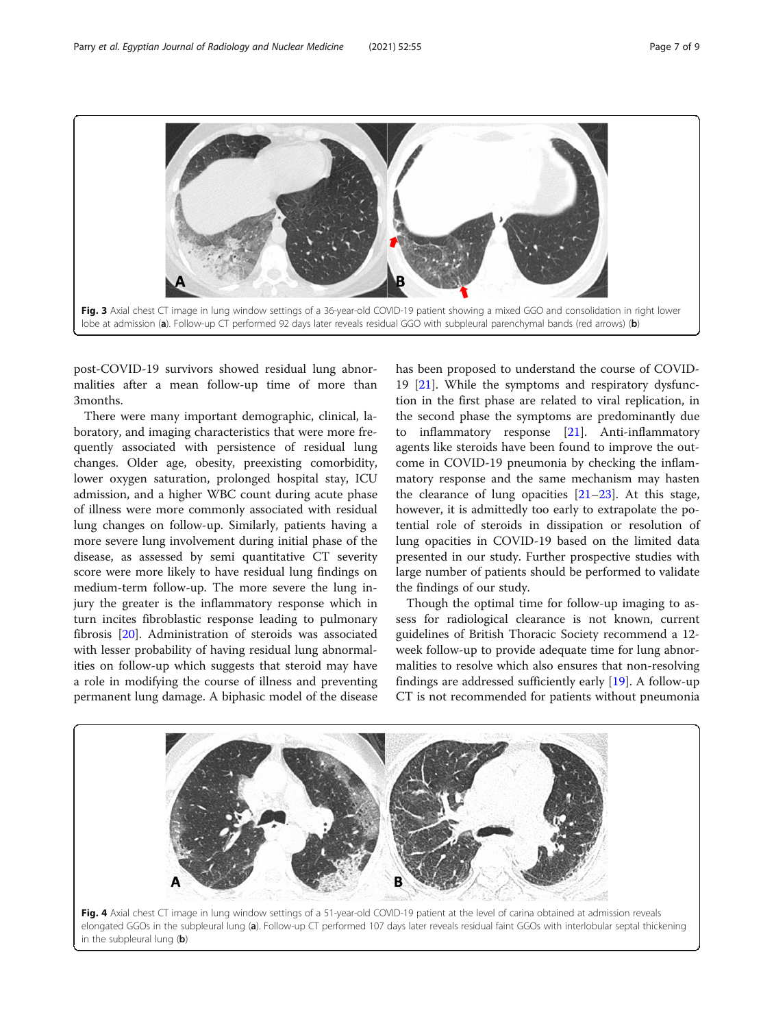<span id="page-6-0"></span>

post-COVID-19 survivors showed residual lung abnormalities after a mean follow-up time of more than 3months.

There were many important demographic, clinical, laboratory, and imaging characteristics that were more frequently associated with persistence of residual lung changes. Older age, obesity, preexisting comorbidity, lower oxygen saturation, prolonged hospital stay, ICU admission, and a higher WBC count during acute phase of illness were more commonly associated with residual lung changes on follow-up. Similarly, patients having a more severe lung involvement during initial phase of the disease, as assessed by semi quantitative CT severity score were more likely to have residual lung findings on medium-term follow-up. The more severe the lung injury the greater is the inflammatory response which in turn incites fibroblastic response leading to pulmonary fibrosis [[20\]](#page-8-0). Administration of steroids was associated with lesser probability of having residual lung abnormalities on follow-up which suggests that steroid may have a role in modifying the course of illness and preventing permanent lung damage. A biphasic model of the disease has been proposed to understand the course of COVID-19 [\[21](#page-8-0)]. While the symptoms and respiratory dysfunction in the first phase are related to viral replication, in the second phase the symptoms are predominantly due to inflammatory response [[21\]](#page-8-0). Anti-inflammatory agents like steroids have been found to improve the outcome in COVID-19 pneumonia by checking the inflammatory response and the same mechanism may hasten the clearance of lung opacities  $[21-23]$  $[21-23]$  $[21-23]$ . At this stage, however, it is admittedly too early to extrapolate the potential role of steroids in dissipation or resolution of lung opacities in COVID-19 based on the limited data presented in our study. Further prospective studies with large number of patients should be performed to validate the findings of our study.

Though the optimal time for follow-up imaging to assess for radiological clearance is not known, current guidelines of British Thoracic Society recommend a 12 week follow-up to provide adequate time for lung abnormalities to resolve which also ensures that non-resolving findings are addressed sufficiently early [\[19](#page-8-0)]. A follow-up CT is not recommended for patients without pneumonia

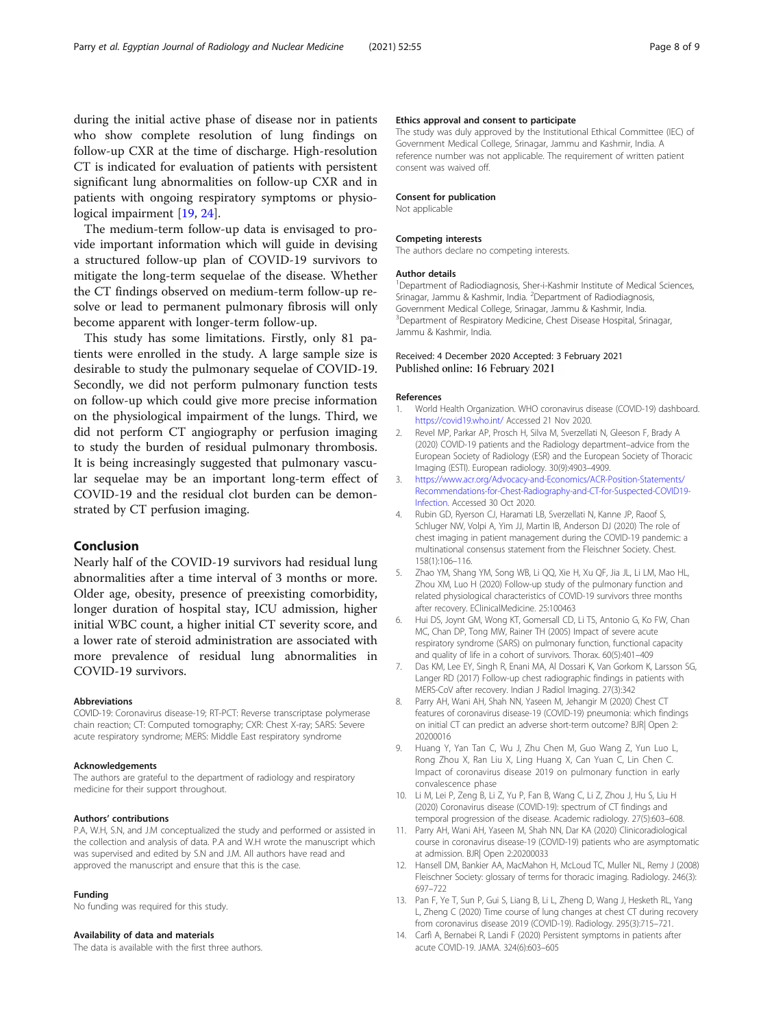<span id="page-7-0"></span>during the initial active phase of disease nor in patients who show complete resolution of lung findings on follow-up CXR at the time of discharge. High-resolution CT is indicated for evaluation of patients with persistent significant lung abnormalities on follow-up CXR and in patients with ongoing respiratory symptoms or physiological impairment [[19,](#page-8-0) [24\]](#page-8-0).

The medium-term follow-up data is envisaged to provide important information which will guide in devising a structured follow-up plan of COVID-19 survivors to mitigate the long-term sequelae of the disease. Whether the CT findings observed on medium-term follow-up resolve or lead to permanent pulmonary fibrosis will only become apparent with longer-term follow-up.

This study has some limitations. Firstly, only 81 patients were enrolled in the study. A large sample size is desirable to study the pulmonary sequelae of COVID-19. Secondly, we did not perform pulmonary function tests on follow-up which could give more precise information on the physiological impairment of the lungs. Third, we did not perform CT angiography or perfusion imaging to study the burden of residual pulmonary thrombosis. It is being increasingly suggested that pulmonary vascular sequelae may be an important long-term effect of COVID-19 and the residual clot burden can be demonstrated by CT perfusion imaging.

## Conclusion

Nearly half of the COVID-19 survivors had residual lung abnormalities after a time interval of 3 months or more. Older age, obesity, presence of preexisting comorbidity, longer duration of hospital stay, ICU admission, higher initial WBC count, a higher initial CT severity score, and a lower rate of steroid administration are associated with more prevalence of residual lung abnormalities in COVID-19 survivors.

#### Abbreviations

COVID-19: Coronavirus disease-19; RT-PCT: Reverse transcriptase polymerase chain reaction; CT: Computed tomography; CXR: Chest X-ray; SARS: Severe acute respiratory syndrome; MERS: Middle East respiratory syndrome

#### Acknowledgements

The authors are grateful to the department of radiology and respiratory medicine for their support throughout.

### Authors' contributions

P.A, W.H, S.N, and J.M conceptualized the study and performed or assisted in the collection and analysis of data. P.A and W.H wrote the manuscript which was supervised and edited by S.N and J.M. All authors have read and approved the manuscript and ensure that this is the case.

#### Funding

No funding was required for this study.

## Availability of data and materials

The data is available with the first three authors.

#### Ethics approval and consent to participate

The study was duly approved by the Institutional Ethical Committee (IEC) of Government Medical College, Srinagar, Jammu and Kashmir, India. A reference number was not applicable. The requirement of written patient consent was waived off.

#### Consent for publication

Not applicable

#### Competing interests

The authors declare no competing interests.

#### Author details

<sup>1</sup>Department of Radiodiagnosis, Sher-i-Kashmir Institute of Medical Sciences, Srinagar, Jammu & Kashmir, India. <sup>2</sup>Department of Radiodiagnosis Government Medical College, Srinagar, Jammu & Kashmir, India. <sup>3</sup>Department of Respiratory Medicine, Chest Disease Hospital, Srinagar, Jammu & Kashmir, India.

## Received: 4 December 2020 Accepted: 3 February 2021 Published online: 16 February 2021

#### References

- World Health Organization. WHO coronavirus disease (COVID-19) dashboard. <https://covid19.who.int/> Accessed 21 Nov 2020.
- 2. Revel MP, Parkar AP, Prosch H, Silva M, Sverzellati N, Gleeson F, Brady A (2020) COVID-19 patients and the Radiology department–advice from the European Society of Radiology (ESR) and the European Society of Thoracic Imaging (ESTI). European radiology. 30(9):4903–4909.
- 3. [https://www.acr.org/Advocacy-and-Economics/ACR-Position-Statements/](https://www.acr.org/Advocacy-and-Economics/ACR-Position-Statements/Recommendations-for-Chest-Radiography-and-CT-for-Suspected-COVID19-Infection) [Recommendations-for-Chest-Radiography-and-CT-for-Suspected-COVID19-](https://www.acr.org/Advocacy-and-Economics/ACR-Position-Statements/Recommendations-for-Chest-Radiography-and-CT-for-Suspected-COVID19-Infection) [Infection.](https://www.acr.org/Advocacy-and-Economics/ACR-Position-Statements/Recommendations-for-Chest-Radiography-and-CT-for-Suspected-COVID19-Infection) Accessed 30 Oct 2020.
- 4. Rubin GD, Ryerson CJ, Haramati LB, Sverzellati N, Kanne JP, Raoof S, Schluger NW, Volpi A, Yim JJ, Martin IB, Anderson DJ (2020) The role of chest imaging in patient management during the COVID-19 pandemic: a multinational consensus statement from the Fleischner Society. Chest. 158(1):106–116.
- 5. Zhao YM, Shang YM, Song WB, Li QQ, Xie H, Xu QF, Jia JL, Li LM, Mao HL, Zhou XM, Luo H (2020) Follow-up study of the pulmonary function and related physiological characteristics of COVID-19 survivors three months after recovery. EClinicalMedicine. 25:100463
- 6. Hui DS, Joynt GM, Wong KT, Gomersall CD, Li TS, Antonio G, Ko FW, Chan MC, Chan DP, Tong MW, Rainer TH (2005) Impact of severe acute respiratory syndrome (SARS) on pulmonary function, functional capacity and quality of life in a cohort of survivors. Thorax. 60(5):401–409
- 7. Das KM, Lee EY, Singh R, Enani MA, Al Dossari K, Van Gorkom K, Larsson SG, Langer RD (2017) Follow-up chest radiographic findings in patients with MERS-CoV after recovery. Indian J Radiol Imaging. 27(3):342
- 8. Parry AH, Wani AH, Shah NN, Yaseen M, Jehangir M (2020) Chest CT features of coronavirus disease-19 (COVID-19) pneumonia: which findings on initial CT can predict an adverse short-term outcome? BJR| Open 2: 20200016
- 9. Huang Y, Yan Tan C, Wu J, Zhu Chen M, Guo Wang Z, Yun Luo L, Rong Zhou X, Ran Liu X, Ling Huang X, Can Yuan C, Lin Chen C. Impact of coronavirus disease 2019 on pulmonary function in early convalescence phase
- 10. Li M, Lei P, Zeng B, Li Z, Yu P, Fan B, Wang C, Li Z, Zhou J, Hu S, Liu H (2020) Coronavirus disease (COVID-19): spectrum of CT findings and temporal progression of the disease. Academic radiology. 27(5):603–608.
- 11. Parry AH, Wani AH, Yaseen M, Shah NN, Dar KA (2020) Clinicoradiological course in coronavirus disease-19 (COVID-19) patients who are asymptomatic at admission. BJR| Open 2:20200033
- 12. Hansell DM, Bankier AA, MacMahon H, McLoud TC, Muller NL, Remy J (2008) Fleischner Society: glossary of terms for thoracic imaging. Radiology. 246(3): 697–722
- 13. Pan F, Ye T, Sun P, Gui S, Liang B, Li L, Zheng D, Wang J, Hesketh RL, Yang L, Zheng C (2020) Time course of lung changes at chest CT during recovery from coronavirus disease 2019 (COVID-19). Radiology. 295(3):715–721.
- 14. Carfì A, Bernabei R, Landi F (2020) Persistent symptoms in patients after acute COVID-19. JAMA. 324(6):603–605